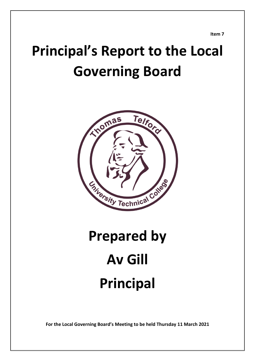**Item 7**

# **Principal's Report to the Local Governing Board**



# **Prepared by Av Gill Principal**

**For the Local Governing Board's Meeting to be held Thursday 11 March 2021**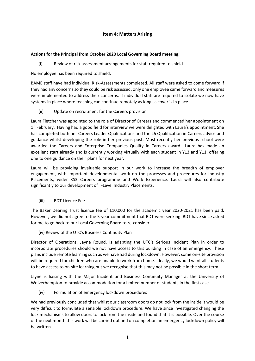# **Item 4: Matters Arising**

### **Actions for the Principal from October 2020 Local Governing Board meeting:**

(i) Review of risk assessment arrangements for staff required to shield

No employee has been required to shield.

BAME staff have had individual Risk-Assessments completed. All staff were asked to come forward if they had any concerns so they could be risk assessed, only one employee came forward and measures were implemented to address their concerns. If individual staff are required to isolate we now have systems in place where teaching can continue remotely as long as cover is in place.

(ii) Update on recruitment for the Careers provision

Laura Fletcher was appointed to the role of Director of Careers and commenced her appointment on 1<sup>st</sup> February. Having had a good field for interview we were delighted with Laura's appointment. She has completed both her Careers Leader Qualifications and the L6 Qualification in Careers advice and guidance whilst developing the role in her previous post. Most recently her previous school were awarded the Careers and Enterprise Companies Quality in Careers award. Laura has made an excellent start already and is currently working virtually with each student in Y13 and Y11, offering one to one guidance on their plans for next year.

Laura will be providing invaluable support in our work to increase the breadth of employer engagement, with important developmental work on the processes and procedures for Industry Placements, wider KS3 Careers programme and Work Experience. Laura will also contribute significantly to our development of T-Level Industry Placements.

(iii) BDT Licence Fee

The Baker Dearing Trust licence fee of £10,000 for the academic year 2020-2021 has been paid. However, we did not agree to the 5-year commitment that BDT were seeking. BDT have since asked for me to go back to our Local Governing Board to re-consider.

(iv) Review of the UTC's Business Continuity Plan

Director of Operations, Jayne Round, is adapting the UTC's Serious Incident Plan in order to incorporate procedures should we not have access to this building in case of an emergency. These plans include remote learning such as we have had during lockdown. However, some on-site provision will be required for children who are unable to work from home. Ideally, we would want all students to have access to on-site learning but we recognise that this may not be possible in the short term.

Jayne is liaising with the Major Incident and Business Continuity Manager at the University of Wolverhampton to provide accommodation for a limited number of students in the first case.

(iv) Formulation of emergency lockdown procedures

We had previously concluded that whilst our classroom doors do not lock from the inside it would be very difficult to formulate a sensible lockdown procedure. We have since investigated changing the lock mechanisms to allow doors to lock from the inside and found that it is possible. Over the course of the next month this work will be carried out and on completion an emergency lockdown policy will be written.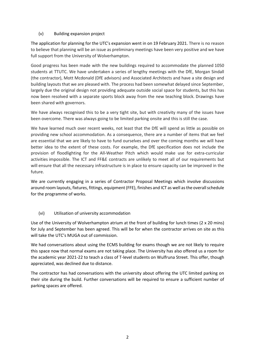# (v) Building expansion project

The application for planning for the UTC's expansion went in on 19 February 2021. There is no reason to believe that planning will be an issue as preliminary meetings have been very positive and we have full support from the University of Wolverhampton.

Good progress has been made with the new buildings required to accommodate the planned 1050 students at TTUTC. We have undertaken a series of lengthy meetings with the DfE, Morgan Sindall (the contractor), Mott Mcdonald (DfE advisors) and Associated Architects and have a site design and building layouts that we are pleased with. The process had been somewhat delayed since September, largely due the original design not providing adequate outside social space for students, but this has now been resolved with a separate sports block away from the new teaching block. Drawings have been shared with governors.

We have always recognised this to be a very tight site, but with creativity many of the issues have been overcome. There was always going to be limited parking onsite and this is still the case.

We have learned much over recent weeks, not least that the DfE will spend as little as possible on providing new school accommodation. As a consequence, there are a number of items that we feel are essential that we are likely to have to fund ourselves and over the coming months we will have better idea to the extent of these costs. For example, the DfE specification does not include the provision of floodlighting for the All-Weather Pitch which would make use for extra-curricular activities impossible. The ICT and FF&E contracts are unlikely to meet all of our requirements but will ensure that all the necessary infrastructure is in place to ensure capacity can be improved in the future.

We are currently engaging in a series of Contractor Proposal Meetings which involve discussions around room layouts, fixtures, fittings, equipment (FFE), finishes and ICT as well as the overall schedule for the programme of works.

# (vi) Utilisation of university accommodation

Use of the University of Wolverhampton atrium at the front of building for lunch times (2 x 20 mins) for July and September has been agreed. This will be for when the contractor arrives on site as this will take the UTC's MUGA out of commission.

We had conversations about using the ECMS building for exams though we are not likely to require this space now that normal exams are not taking place. The University has also offered us a room for the academic year 2021-22 to teach a class of T-level students on Wulfruna Street. This offer, though appreciated, was declined due to distance.

The contractor has had conversations with the university about offering the UTC limited parking on their site during the build. Further conversations will be required to ensure a sufficient number of parking spaces are offered.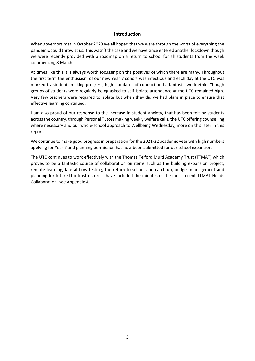#### **Introduction**

When governors met in October 2020 we all hoped that we were through the worst of everything the pandemic could throw at us. This wasn't the case and we have since entered another lockdown though we were recently provided with a roadmap on a return to school for all students from the week commencing 8 March.

At times like this it is always worth focussing on the positives of which there are many. Throughout the first term the enthusiasm of our new Year 7 cohort was infectious and each day at the UTC was marked by students making progress, high standards of conduct and a fantastic work ethic. Though groups of students were regularly being asked to self-isolate attendance at the UTC remained high. Very few teachers were required to isolate but when they did we had plans in place to ensure that effective learning continued.

I am also proud of our response to the increase in student anxiety, that has been felt by students across the country, through Personal Tutors making weekly welfare calls, the UTC offering counselling where necessary and our whole-school approach to Wellbeing Wednesday, more on this later in this report.

We continue to make good progress in preparation for the 2021-22 academic year with high numbers applying for Year 7 and planning permission has now been submitted for our school expansion.

The UTC continues to work effectively with the Thomas Telford Multi Academy Trust (TTMAT) which proves to be a fantastic source of collaboration on items such as the building expansion project, remote learning, lateral flow testing, the return to school and catch-up, budget management and planning for future IT infrastructure. I have included the minutes of the most recent TTMAT Heads Collaboration -see Appendix A.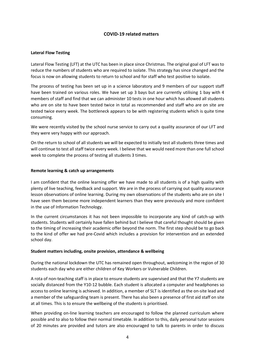# **COVID-19 related matters**

#### **Lateral Flow Testing**

Lateral Flow Testing (LFT) at the UTC has been in place since Christmas. The original goal of LFT was to reduce the numbers of students who are required to isolate. This strategy has since changed and the focus is now on allowing students to return to school and for staff who test positive to isolate.

The process of testing has been set up in a science laboratory and 9 members of our support staff have been trained on various roles. We have set up 3 bays but are currently utilising 1 bay with 4 members of staff and find that we can administer 10 tests in one hour which has allowed all students who are on site to have been tested twice in total as recommended and staff who are on site are tested twice every week. The bottleneck appears to be with registering students which is quite time consuming.

We were recently visited by the school nurse service to carry out a quality assurance of our LFT and they were very happy with our approach.

On the return to school of all students we will be expected to initially test all students three times and will continue to test all staff twice every week. I believe that we would need more than one full school week to complete the process of testing all students 3 times.

#### **Remote learning & catch up arrangements**

I am confident that the online learning offer we have made to all students is of a high quality with plenty of live teaching, feedback and support. We are in the process of carrying out quality assurance lesson observations of online learning. During my own observations of the students who are on site I have seen them become more independent learners than they were previously and more confident in the use of Information Technology.

In the current circumstances it has not been impossible to incorporate any kind of catch-up with students. Students will certainly have fallen behind but I believe that careful thought should be given to the timing of increasing their academic offer beyond the norm. The first step should be to go back to the kind of offer we had pre-Covid which includes a provision for intervention and an extended school day.

#### **Student matters including, onsite provision, attendance & wellbeing**

During the national lockdown the UTC has remained open throughout, welcoming in the region of 30 students each day who are either children of Key Workers or Vulnerable Children.

A rota of non-teaching staff is in place to ensure students are supervised and that the Y7 students are socially distanced from the Y10-12 bubble. Each student is allocated a computer and headphones so access to online learning is achieved. In addition, a member of SLT is identified as the on-site lead and a member of the safeguarding team is present. There has also been a presence of first aid staff on site at all times. This is to ensure the wellbeing of the students is prioritised.

When providing on-line learning teachers are encouraged to follow the planned curriculum where possible and to also to follow their normal timetable. In addition to this, daily personal tutor sessions of 20 minutes are provided and tutors are also encouraged to talk to parents in order to discuss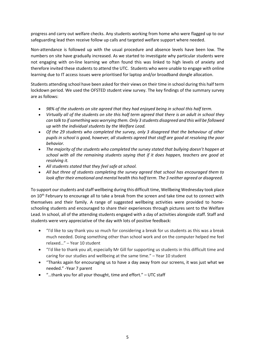progress and carry out welfare checks. Any students working from home who were flagged up to our safeguarding lead then receive follow up calls and targeted welfare support where needed.

Non-attendance is followed up with the usual procedure and absence levels have been low. The numbers on site have gradually increased. As we started to investigate why particular students were not engaging with on-line learning we often found this was linked to high levels of anxiety and therefore invited these students to attend the UTC. Students who were unable to engage with online learning due to IT access issues were prioritised for laptop and/or broadband dongle allocation.

Students attending school have been asked for their views on their time in school during this half term lockdown period. We used the OFSTED student view survey. The key findings of the summary survey are as follows:

- *98% of the students on site agreed that they had enjoyed being in school this half term.*
- *Virtually all of the students on site this half term agreed that there is an adult in school they can talk to if something was worrying them. Only 3 students disagreed and this will be followed up with the individual students by the Welfare Lead.*
- *Of the 29 students who completed the survey, only 3 disagreed that the behaviour of other pupils in school is good, however, all students agreed that staff are good at resolving the poor behavior.*
- *The majority of the students who completed the survey stated that bullying doesn't happen at school with all the remaining students saying that if it does happen, teachers are good at resolving it.*
- *All students stated that they feel safe at school.*
- *All but three of students completing the survey agreed that school has encouraged them to look after their emotional and mental health this half term. The 3 neither agreed or disagreed.*

To support our students and staff wellbeing during this difficult time, Wellbeing Wednesday took place on 10<sup>th</sup> February to encourage all to take a break from the screen and take time out to connect with themselves and their family. A range of suggested wellbeing activities were provided to homeschooling students and encouraged to share their experiences through pictures sent to the Welfare Lead. In school, all of the attending students engaged with a day of activities alongside staff. Staff and students were very appreciative of the day with lots of positive feedback:

- "I'd like to say thank you so much for considering a break for us students as this was a break much needed. Doing something other than school work and on the computer helped me feel relaxed…" – Year 10 student
- "I'd like to thank you all, especially Mr Gill for supporting us students in this difficult time and caring for our studies and wellbeing at the same time." – Year 10 student
- "Thanks again for encouraging us to have a day away from our screens, it was just what we needed." -Year 7 parent
- "…thank you for all your thought, time and effort." UTC staff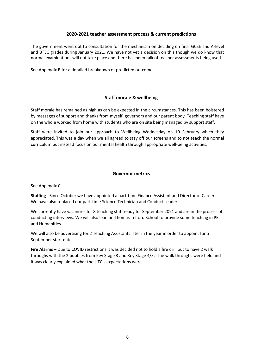### **2020-2021 teacher assessment process & current predictions**

The government went out to consultation for the mechanism on deciding on final GCSE and A-level and BTEC grades during January 2021. We have not yet a decision on this though we do know that normal examinations will not take place and there has been talk of teacher assessments being used.

See Appendix B for a detailed breakdown of predicted outcomes.

# **Staff morale & wellbeing**

Staff morale has remained as high as can be expected in the circumstances. This has been bolstered by messages of support and thanks from myself, governors and our parent body. Teaching staff have on the whole worked from home with students who are on site being managed by support staff.

Staff were invited to join our approach to Wellbeing Wednesday on 10 February which they appreciated. This was a day when we all agreed to stay off our screens and to not teach the normal curriculum but instead focus on our mental health through appropriate well-being activities.

#### **Governor metrics**

See Appendix C

**Staffing -** Since October we have appointed a part-time Finance Assistant and Director of Careers. We have also replaced our part-time Science Technician and Conduct Leader.

We currently have vacancies for 8 teaching staff ready for September 2021 and are in the process of conducting interviews. We will also lean on Thomas Telford School to provide some teaching in PE and Humanities.

We will also be advertising for 2 Teaching Assistants later in the year in order to appoint for a September start date.

**Fire Alarms** – Due to COVID restrictions it was decided not to hold a fire drill but to have 2 walk throughs with the 2 bubbles from Key Stage 3 and Key Stage 4/5. The walk throughs were held and it was clearly explained what the UTC's expectations were.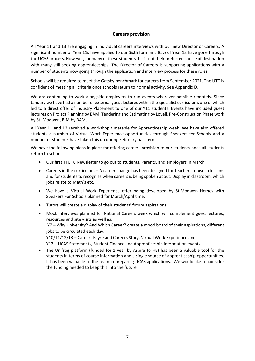# **Careers provision**

All Year 11 and 13 are engaging in individual careers interviews with our new Director of Careers. A significant number of Year 11s have applied to our Sixth form and 85% of Year 13 have gone through the UCAS process. However, for many of these students this is not their preferred choice of destination with many still seeking apprenticeships. The Director of Careers is supporting applications with a number of students now going through the application and interview process for these roles.

Schools will be required to meet the Gatsby benchmark for careers from September 2021. The UTC is confident of meeting all criteria once schools return to normal activity. See Appendix D.

We are continuing to work alongside employers to run events wherever possible remotely. Since January we have had a number of external guest lectures within the specialist curriculum, one of which led to a direct offer of Industry Placement to one of our Y11 students. Events have included guest lectures on Project Planning by BAM, Tendering and Estimating by Lovell, Pre-Construction Phase work by St. Modwen, BIM by BAM.

All Year 11 and 13 received a workshop timetable for Apprenticeship week. We have also offered students a number of Virtual Work Experience opportunities through Speakers for Schools and a number of students have taken this up during February half-term.

We have the following plans in place for offering careers provision to our students once all students return to school:

- Our first TTUTC Newsletter to go out to students, Parents, and employers in March
- Careers in the curriculum A careers badge has been designed for teachers to use in lessons and for students to recognise when careers is being spoken about. Display in classroom, which jobs relate to Math's etc.
- We have a Virtual Work Experience offer being developed by St.Modwen Homes with Speakers For Schools planned for March/April time.
- Tutors will create a display of their students' future aspirations
- Mock interviews planned for National Careers week which will complement guest lectures, resources and site visits as well as: Y7 – Why University? And Which Career? create a mood board of their aspirations, different jobs to be circulated each day. Y10/11/12/13 – Careers Fayre and Careers Story, Virtual Work Experience and Y12 – UCAS Statements, Student Finance and Apprenticeship information events.
- The Unifrog platform (funded for 1 year by Aspire to HE) has been a valuable tool for the students in terms of course information and a single source of apprenticeship opportunities. It has been valuable to the team in preparing UCAS applications. We would like to consider the funding needed to keep this into the future.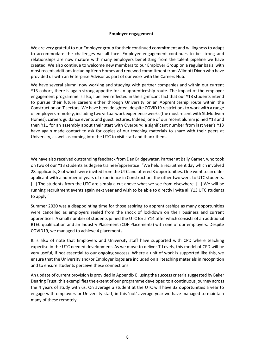#### **Employer engagement**

We are very grateful to our Employer group for their continued commitment and willingness to adapt to accommodate the challenges we all face. Employer engagement continues to be strong and relationships are now mature with many employers benefitting from the talent pipeline we have created. We also continue to welcome new members to our Employer Group on a regular basis, with most recent additions including Keon Homes and renewed commitment from Wilmott Dixon who have provided us with an Enterprise Advisor as part of our work with the Careers Hub.

We have several alumni now working and studying with partner companies and within our current Y13 cohort, there is again strong appetite for an apprenticeship route. The impact of the employer engagement programme is also, I believe reflected in the significant fact that our Y13 students intend to pursue their future careers either through University or an Apprenticeship route within the Construction or IT sectors. We have been delighted, despite COVID19 restrictions to work with a range of employers remotely, including two virtual work experience weeks (the most recent with St.Modwen Homes), careers guidance events and guest lectures. Indeed, one of our recent alumni joined Y13 and then Y11 for an assembly about their start with Overbury; a significant number from last year's Y13 have again made contact to ask for copies of our teaching materials to share with their peers at University, as well as coming into the UTC to visit staff and thank them.

We have also received outstanding feedback from Dan Bridgewater, Partner at Baily Garner, who took on two of our Y13 students as degree trainee/apprentice: "We held a recruitment day which involved 28 applicants, 8 of which were invited from the UTC and offered 3 opportunities. One went to an older applicant with a number of years of experience in Construction, the other two went to UTC students. [...] The students from the UTC are simply a cut above what we see from elsewhere. [...] We will be running recruitment events again next year and wish to be able to directly invite all Y13 UTC students to apply.'

Summer 2020 was a disappointing time for those aspiring to apprenticeships as many opportunities were cancelled as employers reeled from the shock of lockdown on their business and current apprentices. A small number of students joined the UTC for a Y14 offer which consists of an additional BTEC qualification and an Industry Placement (CDF Placements) with one of our employers. Despite COVID19, we managed to achieve 4 placements.

It is also of note that Employers and University staff have supported with CPD where teaching expertise in the UTC needed development. As we move to deliver T-Levels, this model of CPD will be very useful, if not essential to our ongoing success. Where a unit of work is supported like this, we ensure that the University and/or Employer logos are included on all teaching materials in recognition and to ensure students perceive these connections.

An update of current provision is provided in Appendix E, using the success criteria suggested by Baker Dearing Trust, this exemplifies the extent of our programme developed to a continuous journey across the 4 years of study with us. On average a student at the UTC will have 32 opportunities a year to engage with employers or University staff, in this 'not' average year we have managed to maintain many of these remotely.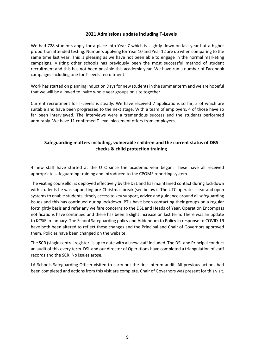#### **2021 Admissions update including T-Levels**

We had 728 students apply for a place into Year 7 which is slightly down on last year but a higher proportion attended testing. Numbers applying for Year 10 and Year 12 are up when comparing to the same time last year. This is pleasing as we have not been able to engage in the normal marketing campaigns. Visiting other schools has previously been the most successful method of student recruitment and this has not been possible this academic year. We have run a number of Facebook campaigns including one for T-levels recruitment.

Work has started on planning Induction Days for new students in the summer term and we are hopeful that we will be allowed to invite whole year groups on site together.

Current recruitment for T-Levels is steady. We have received 7 applications so far, 5 of which are suitable and have been progressed to the next stage. With a team of employers, 4 of those have so far been interviewed. The interviews were a tremendous success and the students performed admirably. We have 11 confirmed T-level placement offers from employers.

# **Safeguarding matters including, vulnerable children and the current status of DBS checks & child protection training**

4 new staff have started at the UTC since the academic year began. These have all received appropriate safeguarding training and introduced to the CPOMS reporting system.

The visiting counsellor is deployed effectively by the DSL and has maintained contact during lockdown with students he was supporting pre-Christmas break (see below). The UTC operates clear and open systems to enable students' timely access to key support, advice and guidance around all safeguarding issues and this has continued during lockdown. PT's have been contacting their groups on a regular fortnightly basis and refer any welfare concerns to the DSL and Heads of Year. Operation Encompass notifications have continued and there has been a slight increase on last term. There was an update to KCSiE in January. The School Safeguarding policy and Addendum to Policy in response to COVID-19 have both been altered to reflect these changes and the Principal and Chair of Governors approved them. Policies have been changed on the website.

The SCR (single central register) is up to date with all new staff included. The DSL and Principal conduct an audit of this every term. DSL and our director of Operations have completed a triangulation of staff records and the SCR. No issues arose.

LA Schools Safeguarding Officer visited to carry out the first interim audit. All previous actions had been completed and actions from this visit are complete. Chair of Governors was present for this visit.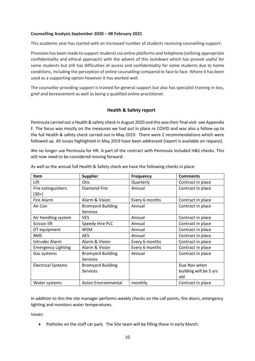#### **Counselling Analysis September 2020 – 08 February 2021**

This academic year has started with an increased number of students receiving counselling support:

Provision has been made to support students via online platforms and telephone (utilising appropriate confidentiality and ethical approach) with the advent of this lockdown which has proved useful for some students but still has difficulties of access and confidentiality for some students due to home conditions, including the perception of online counselling compared to face to face. Where it has been used as a supporting option however it has worked well.

The counsellor providing support is trained for general support but also has specialist training in loss, grief and bereavement as well as being a qualified online practitioner.

# **Health & Safety report**

Peninsula carried out a Health & safety check in August 2020 and this was their final visit -see Appendix F. The focus was mostly on the measures we had put in place re COVID and was also a follow-up to the full Health & safety check carried out in May 2019. There were 2 recommendations which were followed up. All issues highlighted in May 2019 have been addressed (report is available on request).

We no longer use Peninsula for HR. A part of the contract with Peninsula included H&S checks. This will now need to be considered moving forward.

| Item                          | <b>Supplier</b>                             | <b>Frequency</b> | <b>Comments</b>                               |
|-------------------------------|---------------------------------------------|------------------|-----------------------------------------------|
| Lift                          | Otis                                        | Quarterly        | Contract in place                             |
| Fire extinguishers<br>$(30+)$ | <b>Diamond Fire</b>                         | Annual           | Contract in place                             |
| Fire Alarm                    | Alarm & Vision                              | Every 6 months   | Contract in place                             |
| Air Con                       | <b>Bromyard Building</b><br><b>Services</b> | Annual           | Contract in place                             |
| Air Handling system           | <b>VES</b>                                  | Annual           | Contract in place                             |
| Scissor lift                  | Speedy Hire PLC                             | Annual           | Contract in place                             |
| DT equipment                  | <b>WSM</b>                                  | Annual           | Contract in place                             |
| <b>BMS</b>                    | <b>AES</b>                                  | Annual           | Contract in place                             |
| Intruder Alarm                | Alarm & Vision                              | Every 6 months   | Contract in place                             |
| <b>Emergency Lighting</b>     | Alarm & Vision                              | Every 6 months   | Contract in place                             |
| Gas systems                   | <b>Bromyard Building</b><br><b>Services</b> | Annual           | Contract in place                             |
| <b>Electrical Systems</b>     | <b>Bromyard Building</b><br><b>Services</b> |                  | Due Nov when<br>building will be 5 yrs<br>old |
| Water systems                 | Aston Environmental                         | monthly          | Contract in place                             |

As well as the annual full Health & Safety check we have the following checks in place:

In addition to this the site manager performs weekly checks on the call points, fire doors, emergency lighting and monitors water temperatures.

Issues:

• Potholes on the staff car park. The Site team will be filling these in early March.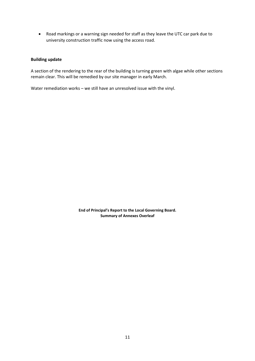• Road markings or a warning sign needed for staff as they leave the UTC car park due to university construction traffic now using the access road.

#### **Building update**

A section of the rendering to the rear of the building is turning green with algae while other sections remain clear. This will be remedied by our site manager in early March.

Water remediation works – we still have an unresolved issue with the vinyl.

**End of Principal's Report to the Local Governing Board. Summary of Annexes Overleaf**